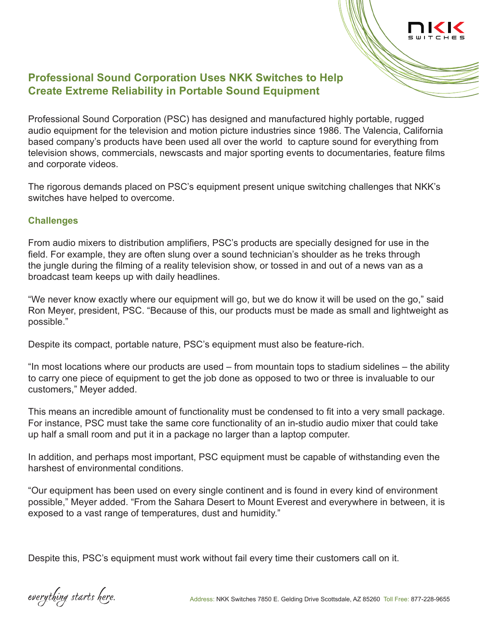

# **Professional Sound Corporation Uses NKK Switches to Help Create Extreme Reliability in Portable Sound Equipment**

Professional Sound Corporation (PSC) has designed and manufactured highly portable, rugged audio equipment for the television and motion picture industries since 1986. The Valencia, California based company's products have been used all over the world to capture sound for everything from television shows, commercials, newscasts and major sporting events to documentaries, feature films and corporate videos.

The rigorous demands placed on PSC's equipment present unique switching challenges that NKK's switches have helped to overcome.

### **Challenges**

From audio mixers to distribution amplifiers, PSC's products are specially designed for use in the field. For example, they are often slung over a sound technician's shoulder as he treks through the jungle during the filming of a reality television show, or tossed in and out of a news van as a broadcast team keeps up with daily headlines.

"We never know exactly where our equipment will go, but we do know it will be used on the go," said Ron Meyer, president, PSC. "Because of this, our products must be made as small and lightweight as possible."

Despite its compact, portable nature, PSC's equipment must also be feature-rich.

"In most locations where our products are used – from mountain tops to stadium sidelines – the ability to carry one piece of equipment to get the job done as opposed to two or three is invaluable to our customers," Meyer added.

This means an incredible amount of functionality must be condensed to fit into a very small package. For instance, PSC must take the same core functionality of an in-studio audio mixer that could take up half a small room and put it in a package no larger than a laptop computer.

In addition, and perhaps most important, PSC equipment must be capable of withstanding even the harshest of environmental conditions.

"Our equipment has been used on every single continent and is found in every kind of environment possible," Meyer added. "From the Sahara Desert to Mount Everest and everywhere in between, it is exposed to a vast range of temperatures, dust and humidity."

Despite this, PSC's equipment must work without fail every time their customers call on it.

everything starts here.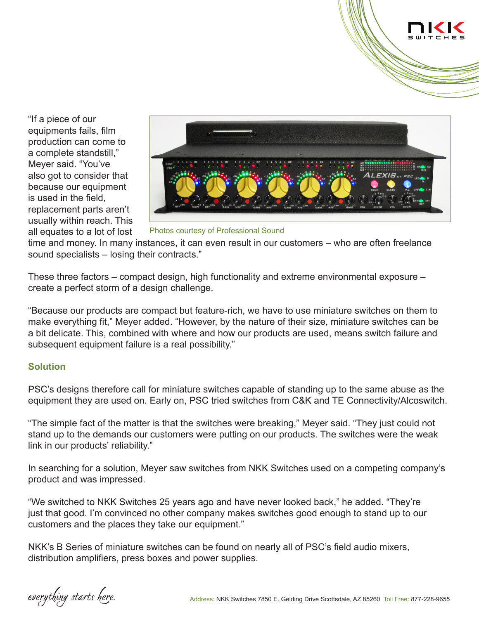

"If a piece of our equipments fails, film production can come to a complete standstill," Meyer said. "You've also got to consider that because our equipment is used in the field, replacement parts aren't usually within reach. This all equates to a lot of lost



Photos courtesy of Professional Sound

time and money. In many instances, it can even result in our customers – who are often freelance sound specialists – losing their contracts."

These three factors – compact design, high functionality and extreme environmental exposure – create a perfect storm of a design challenge.

"Because our products are compact but feature-rich, we have to use miniature switches on them to make everything fit," Meyer added. "However, by the nature of their size, miniature switches can be a bit delicate. This, combined with where and how our products are used, means switch failure and subsequent equipment failure is a real possibility."

#### **Solution**

PSC's designs therefore call for miniature switches capable of standing up to the same abuse as the equipment they are used on. Early on, PSC tried switches from C&K and TE Connectivity/Alcoswitch.

"The simple fact of the matter is that the switches were breaking," Meyer said. "They just could not stand up to the demands our customers were putting on our products. The switches were the weak link in our products' reliability."

In searching for a solution, Meyer saw switches from NKK Switches used on a competing company's product and was impressed.

"We switched to NKK Switches 25 years ago and have never looked back," he added. "They're just that good. I'm convinced no other company makes switches good enough to stand up to our customers and the places they take our equipment."

NKK's B Series of miniature switches can be found on nearly all of PSC's field audio mixers, distribution amplifiers, press boxes and power supplies.

everything starts here.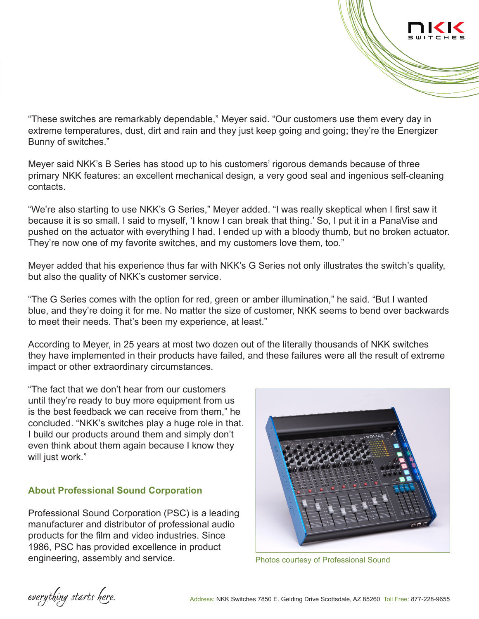

"These switches are remarkably dependable," Meyer said. "Our customers use them every day in extreme temperatures, dust, dirt and rain and they just keep going and going; they're the Energizer Bunny of switches."

Meyer said NKK's B Series has stood up to his customers' rigorous demands because of three primary NKK features: an excellent mechanical design, a very good seal and ingenious self-cleaning contacts.

"We're also starting to use NKK's G Series," Meyer added. "I was really skeptical when I first saw it because it is so small. I said to myself, 'I know I can break that thing.' So, I put it in a PanaVise and pushed on the actuator with everything I had. I ended up with a bloody thumb, but no broken actuator. They're now one of my favorite switches, and my customers love them, too."

Meyer added that his experience thus far with NKK's G Series not only illustrates the switch's quality, but also the quality of NKK's customer service.

"The G Series comes with the option for red, green or amber illumination," he said. "But I wanted blue, and they're doing it for me. No matter the size of customer, NKK seems to bend over backwards to meet their needs. That's been my experience, at least."

According to Meyer, in 25 years at most two dozen out of the literally thousands of NKK switches they have implemented in their products have failed, and these failures were all the result of extreme impact or other extraordinary circumstances.

"The fact that we don't hear from our customers until they're ready to buy more equipment from us is the best feedback we can receive from them," he concluded. "NKK's switches play a huge role in that. I build our products around them and simply don't even think about them again because I know they will just work."

## **About Professional Sound Corporation**

Professional Sound Corporation (PSC) is a leading manufacturer and distributor of professional audio products for the film and video industries. Since 1986, PSC has provided excellence in product engineering, assembly and service. The Photos courtesy of Professional Sound



everything starts here.